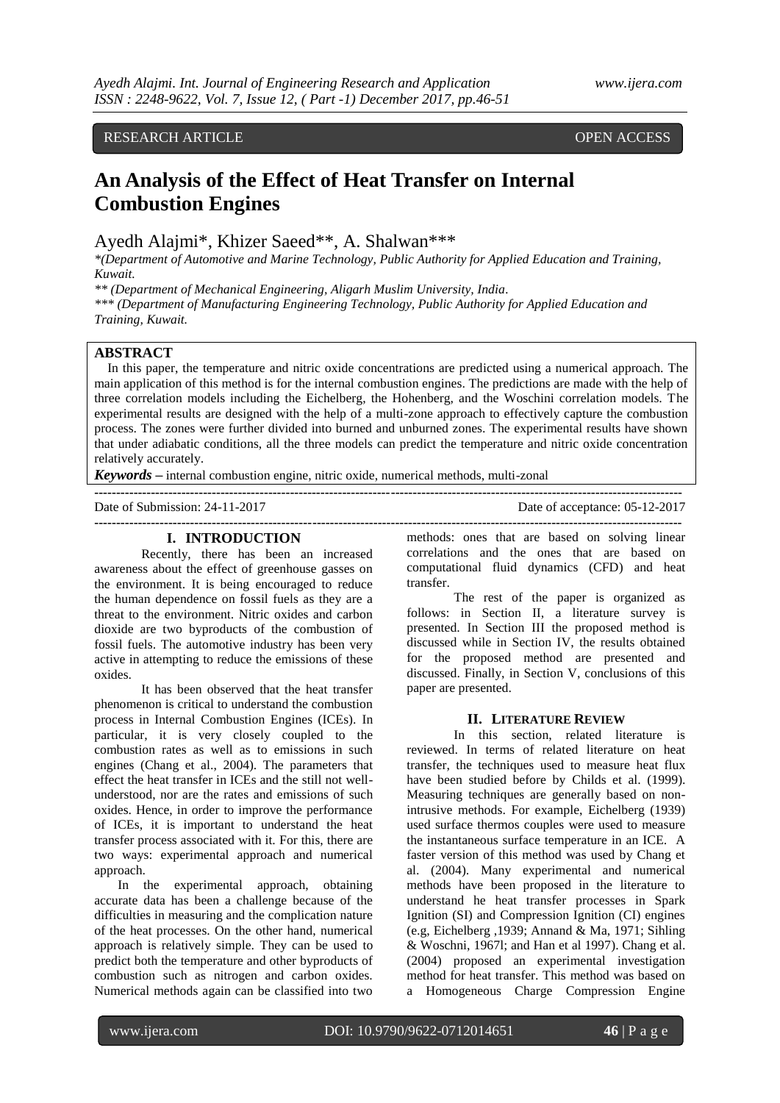# RESEARCH ARTICLE OPEN ACCESS

# **An Analysis of the Effect of Heat Transfer on Internal Combustion Engines**

Ayedh Alajmi\*, Khizer Saeed\*\*, A. Shalwan\*\*\*

*\*(Department of Automotive and Marine Technology, Public Authority for Applied Education and Training, Kuwait.*

*\*\* (Department of Mechanical Engineering, Aligarh Muslim University, India.*

*\*\*\* (Department of Manufacturing Engineering Technology, Public Authority for Applied Education and Training, Kuwait.* 

## **ABSTRACT**

In this paper, the temperature and nitric oxide concentrations are predicted using a numerical approach. The main application of this method is for the internal combustion engines. The predictions are made with the help of three correlation models including the Eichelberg, the Hohenberg, and the Woschini correlation models. The experimental results are designed with the help of a multi-zone approach to effectively capture the combustion process. The zones were further divided into burned and unburned zones. The experimental results have shown that under adiabatic conditions, all the three models can predict the temperature and nitric oxide concentration relatively accurately.

**---------------------------------------------------------------------------------------------------------------------------------------**

**---------------------------------------------------------------------------------------------------------------------------------------**

*Keywords* **–** internal combustion engine, nitric oxide, numerical methods, multi-zonal

Date of Submission: 24-11-2017 Date of acceptance: 05-12-2017

#### **I. INTRODUCTION**

Recently, there has been an increased awareness about the effect of greenhouse gasses on the environment. It is being encouraged to reduce the human dependence on fossil fuels as they are a threat to the environment. Nitric oxides and carbon dioxide are two byproducts of the combustion of fossil fuels. The automotive industry has been very active in attempting to reduce the emissions of these oxides.

It has been observed that the heat transfer phenomenon is critical to understand the combustion process in Internal Combustion Engines (ICEs). In particular, it is very closely coupled to the combustion rates as well as to emissions in such engines (Chang et al., 2004). The parameters that effect the heat transfer in ICEs and the still not wellunderstood, nor are the rates and emissions of such oxides. Hence, in order to improve the performance of ICEs, it is important to understand the heat transfer process associated with it. For this, there are two ways: experimental approach and numerical approach.

In the experimental approach, obtaining accurate data has been a challenge because of the difficulties in measuring and the complication nature of the heat processes. On the other hand, numerical approach is relatively simple. They can be used to predict both the temperature and other byproducts of combustion such as nitrogen and carbon oxides. Numerical methods again can be classified into two

methods: ones that are based on solving linear correlations and the ones that are based on computational fluid dynamics (CFD) and heat transfer.

The rest of the paper is organized as follows: in Section II, a literature survey is presented. In Section III the proposed method is discussed while in Section IV, the results obtained for the proposed method are presented and discussed. Finally, in Section V, conclusions of this paper are presented.

#### **II. LITERATURE REVIEW**

In this section, related literature is reviewed. In terms of related literature on heat transfer, the techniques used to measure heat flux have been studied before by Childs et al. (1999). Measuring techniques are generally based on nonintrusive methods. For example, Eichelberg (1939) used surface thermos couples were used to measure the instantaneous surface temperature in an ICE. A faster version of this method was used by Chang et al. (2004). Many experimental and numerical methods have been proposed in the literature to understand he heat transfer processes in Spark Ignition (SI) and Compression Ignition (CI) engines (e.g, Eichelberg ,1939; Annand & Ma, 1971; Sihling & Woschni, 1967l; and Han et al 1997). Chang et al. (2004) proposed an experimental investigation method for heat transfer. This method was based on a Homogeneous Charge Compression Engine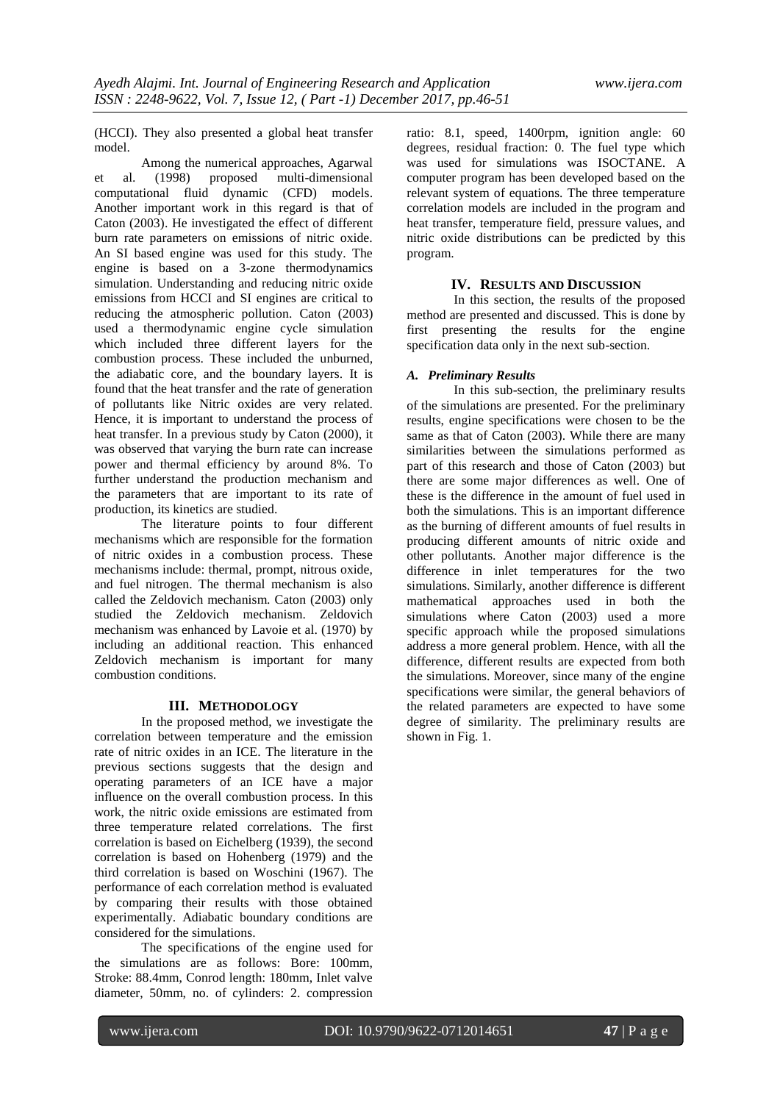(HCCI). They also presented a global heat transfer model.

Among the numerical approaches, Agarwal<br>(1998) proposed multi-dimensional et al. (1998) proposed multi-dimensional computational fluid dynamic (CFD) models. Another important work in this regard is that of Caton (2003). He investigated the effect of different burn rate parameters on emissions of nitric oxide. An SI based engine was used for this study. The engine is based on a 3-zone thermodynamics simulation. Understanding and reducing nitric oxide emissions from HCCI and SI engines are critical to reducing the atmospheric pollution. Caton (2003) used a thermodynamic engine cycle simulation which included three different layers for the combustion process. These included the unburned, the adiabatic core, and the boundary layers. It is found that the heat transfer and the rate of generation of pollutants like Nitric oxides are very related. Hence, it is important to understand the process of heat transfer. In a previous study by Caton (2000), it was observed that varying the burn rate can increase power and thermal efficiency by around 8%. To further understand the production mechanism and the parameters that are important to its rate of production, its kinetics are studied.

The literature points to four different mechanisms which are responsible for the formation of nitric oxides in a combustion process. These mechanisms include: thermal, prompt, nitrous oxide, and fuel nitrogen. The thermal mechanism is also called the Zeldovich mechanism. Caton (2003) only studied the Zeldovich mechanism. Zeldovich mechanism was enhanced by Lavoie et al. (1970) by including an additional reaction. This enhanced Zeldovich mechanism is important for many combustion conditions.

### **III. METHODOLOGY**

In the proposed method, we investigate the correlation between temperature and the emission rate of nitric oxides in an ICE. The literature in the previous sections suggests that the design and operating parameters of an ICE have a major influence on the overall combustion process. In this work, the nitric oxide emissions are estimated from three temperature related correlations. The first correlation is based on Eichelberg (1939), the second correlation is based on Hohenberg (1979) and the third correlation is based on Woschini (1967). The performance of each correlation method is evaluated by comparing their results with those obtained experimentally. Adiabatic boundary conditions are considered for the simulations.

The specifications of the engine used for the simulations are as follows: Bore: 100mm, Stroke: 88.4mm, Conrod length: 180mm, Inlet valve diameter, 50mm, no. of cylinders: 2. compression

ratio: 8.1, speed, 1400rpm, ignition angle: 60 degrees, residual fraction: 0. The fuel type which was used for simulations was ISOCTANE. A computer program has been developed based on the relevant system of equations. The three temperature correlation models are included in the program and heat transfer, temperature field, pressure values, and nitric oxide distributions can be predicted by this program.

#### **IV. RESULTS AND DISCUSSION**

In this section, the results of the proposed method are presented and discussed. This is done by first presenting the results for the engine specification data only in the next sub-section.

#### *A. Preliminary Results*

In this sub-section, the preliminary results of the simulations are presented. For the preliminary results, engine specifications were chosen to be the same as that of Caton (2003). While there are many similarities between the simulations performed as part of this research and those of Caton (2003) but there are some major differences as well. One of these is the difference in the amount of fuel used in both the simulations. This is an important difference as the burning of different amounts of fuel results in producing different amounts of nitric oxide and other pollutants. Another major difference is the difference in inlet temperatures for the two simulations. Similarly, another difference is different mathematical approaches used in both the simulations where Caton (2003) used a more specific approach while the proposed simulations address a more general problem. Hence, with all the difference, different results are expected from both the simulations. Moreover, since many of the engine specifications were similar, the general behaviors of the related parameters are expected to have some degree of similarity. The preliminary results are shown in Fig. 1.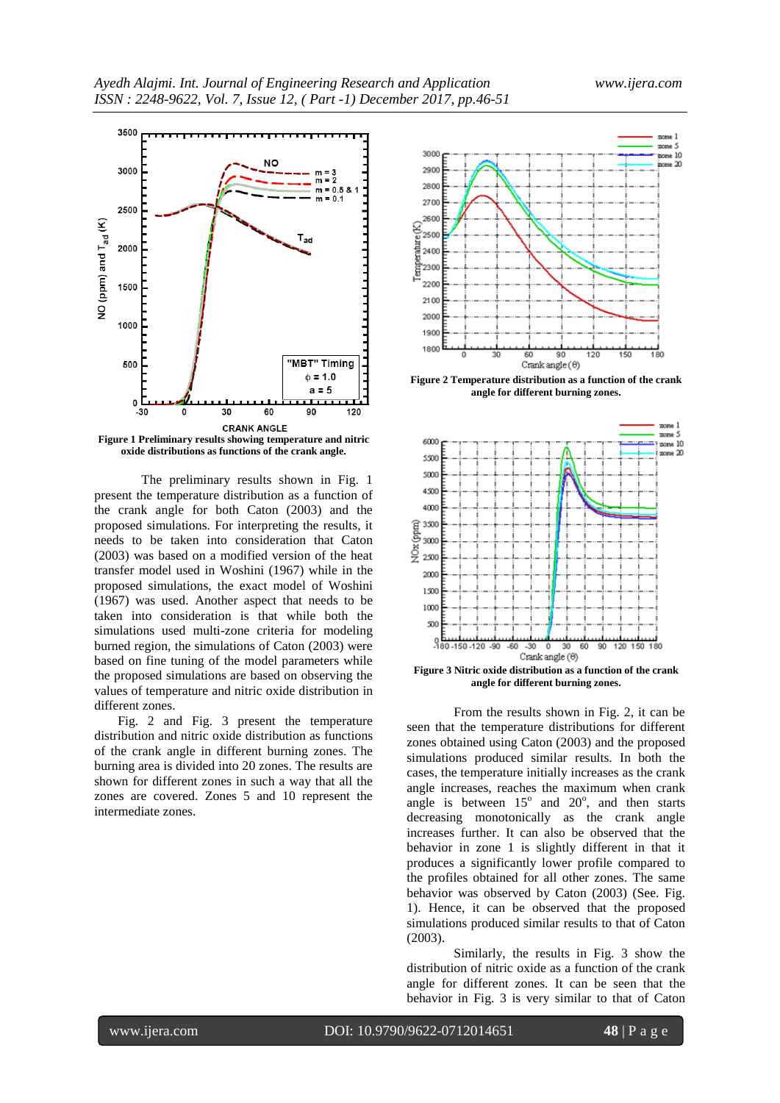

**oxide distributions as functions of the crank angle.**

The preliminary results shown in Fig. 1 present the temperature distribution as a function of the crank angle for both Caton (2003) and the proposed simulations. For interpreting the results, it needs to be taken into consideration that Caton (2003) was based on a modified version of the heat transfer model used in Woshini (1967) while in the proposed simulations, the exact model of Woshini (1967) was used. Another aspect that needs to be taken into consideration is that while both the simulations used multi-zone criteria for modeling burned region, the simulations of Caton (2003) were based on fine tuning of the model parameters while the proposed simulations are based on observing the values of temperature and nitric oxide distribution in different zones.

Fig. 2 and Fig. 3 present the temperature distribution and nitric oxide distribution as functions of the crank angle in different burning zones. The burning area is divided into 20 zones. The results are shown for different zones in such a way that all the zones are covered. Zones 5 and 10 represent the intermediate zones.



**Figure 2 Temperature distribution as a function of the crank angle for different burning zones.**



**Figure 3 Nitric oxide distribution as a function of the crank angle for different burning zones.**

From the results shown in Fig. 2, it can be seen that the temperature distributions for different zones obtained using Caton (2003) and the proposed simulations produced similar results. In both the cases, the temperature initially increases as the crank angle increases, reaches the maximum when crank angle is between  $15^{\circ}$  and  $20^{\circ}$ , and then starts decreasing monotonically as the crank angle increases further. It can also be observed that the behavior in zone 1 is slightly different in that it produces a significantly lower profile compared to the profiles obtained for all other zones. The same behavior was observed by Caton (2003) (See. Fig. 1). Hence, it can be observed that the proposed simulations produced similar results to that of Caton (2003).

Similarly, the results in Fig. 3 show the distribution of nitric oxide as a function of the crank angle for different zones. It can be seen that the behavior in Fig. 3 is very similar to that of Caton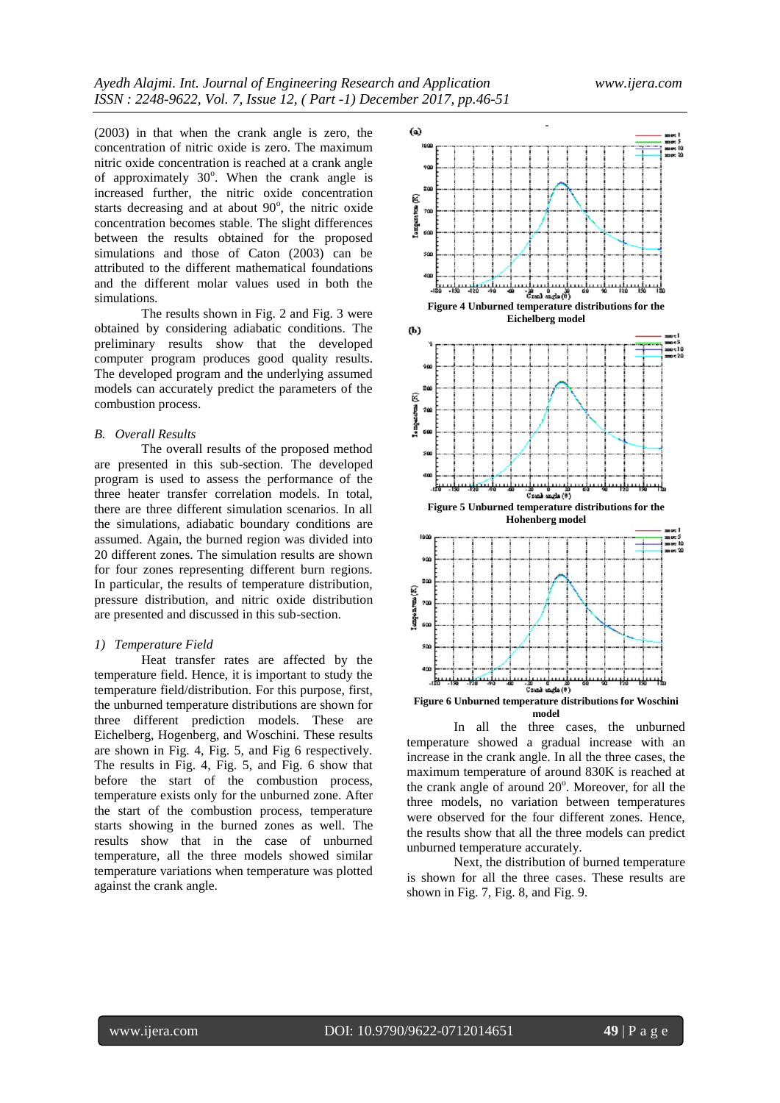(2003) in that when the crank angle is zero, the concentration of nitric oxide is zero. The maximum nitric oxide concentration is reached at a crank angle of approximately  $30^\circ$ . When the crank angle is increased further, the nitric oxide concentration starts decreasing and at about  $90^\circ$ , the nitric oxide concentration becomes stable. The slight differences between the results obtained for the proposed simulations and those of Caton (2003) can be attributed to the different mathematical foundations and the different molar values used in both the simulations.

The results shown in Fig. 2 and Fig. 3 were obtained by considering adiabatic conditions. The preliminary results show that the developed computer program produces good quality results. The developed program and the underlying assumed models can accurately predict the parameters of the combustion process.

#### *B. Overall Results*

The overall results of the proposed method are presented in this sub-section. The developed program is used to assess the performance of the three heater transfer correlation models. In total, there are three different simulation scenarios. In all the simulations, adiabatic boundary conditions are assumed. Again, the burned region was divided into 20 different zones. The simulation results are shown for four zones representing different burn regions. In particular, the results of temperature distribution, pressure distribution, and nitric oxide distribution are presented and discussed in this sub-section.

#### *1) Temperature Field*

Heat transfer rates are affected by the temperature field. Hence, it is important to study the temperature field/distribution. For this purpose, first, the unburned temperature distributions are shown for three different prediction models. These are Eichelberg, Hogenberg, and Woschini. These results are shown in Fig. 4, Fig. 5, and Fig 6 respectively. The results in Fig. 4, Fig. 5, and Fig. 6 show that before the start of the combustion process, temperature exists only for the unburned zone. After the start of the combustion process, temperature starts showing in the burned zones as well. The results show that in the case of unburned temperature, all the three models showed similar temperature variations when temperature was plotted against the crank angle.



In all the three cases, the unburned temperature showed a gradual increase with an increase in the crank angle. In all the three cases, the maximum temperature of around 830K is reached at the crank angle of around 20°. Moreover, for all the three models, no variation between temperatures were observed for the four different zones. Hence, the results show that all the three models can predict unburned temperature accurately.

Next, the distribution of burned temperature is shown for all the three cases. These results are shown in Fig. 7, Fig. 8, and Fig. 9.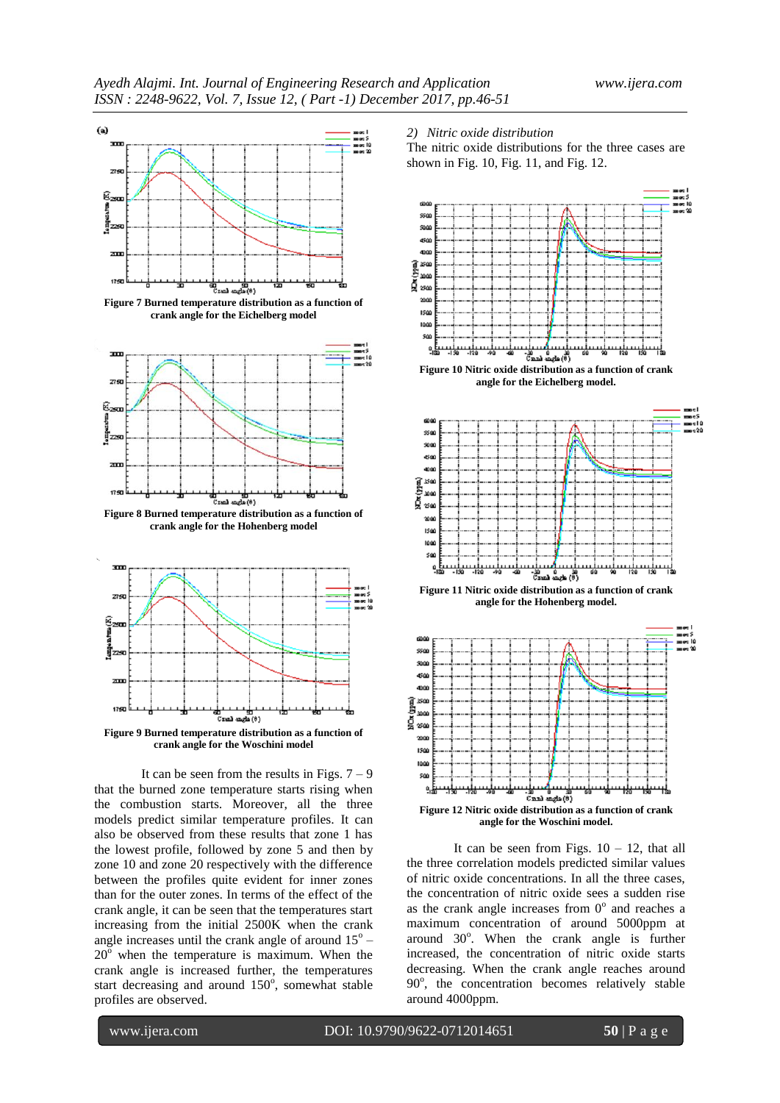

**crank angle for the Eichelberg model**



**Figure 8 Burned temperature distribution as a function of crank angle for the Hohenberg model**



It can be seen from the results in Figs.  $7 - 9$ that the burned zone temperature starts rising when the combustion starts. Moreover, all the three models predict similar temperature profiles. It can also be observed from these results that zone 1 has the lowest profile, followed by zone 5 and then by zone 10 and zone 20 respectively with the difference between the profiles quite evident for inner zones than for the outer zones. In terms of the effect of the crank angle, it can be seen that the temperatures start increasing from the initial 2500K when the crank angle increases until the crank angle of around  $15^{\circ}$  - $20^{\circ}$  when the temperature is maximum. When the crank angle is increased further, the temperatures start decreasing and around 150°, somewhat stable profiles are observed.

#### *2) Nitric oxide distribution*

The nitric oxide distributions for the three cases are shown in Fig. 10, Fig. 11, and Fig. 12.





**Figure 11 Nitric oxide distribution as a function of crank angle for the Hohenberg model.**



It can be seen from Figs.  $10 - 12$ , that all the three correlation models predicted similar values of nitric oxide concentrations. In all the three cases, the concentration of nitric oxide sees a sudden rise as the crank angle increases from  $0^{\circ}$  and reaches a maximum concentration of around 5000ppm at around 30°. When the crank angle is further increased, the concentration of nitric oxide starts decreasing. When the crank angle reaches around 90°, the concentration becomes relatively stable around 4000ppm.

www.ijera.com DOI: 10.9790/9622-0712014651 **50** | P a g e